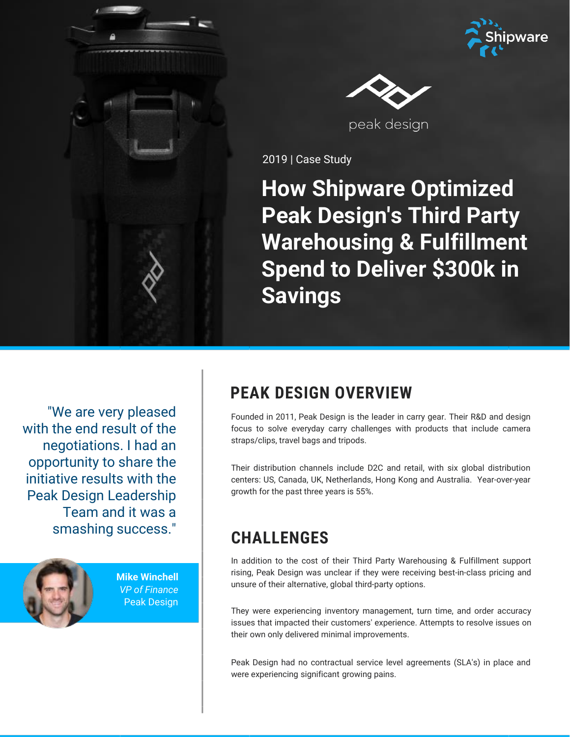



2019 | Case Study

# **How Shipware Optimized Peak Design's Third Party Warehousing & Fulfillment Spend to Deliver \$300k in Savings**

"We are very pleased with the end result of the negotiations. I had an opportunity to share the initiative results with the Peak Design Leadership Team and it was a smashing success."



**Mike Winchell** *VP of Finance* Peak Design

# **PEAK DESIGN OVERVIEW**

Founded in 2011, Peak Design is the leader in carry gear. Their R&D and design focus to solve everyday carry challenges with products that include camera straps/clips, travel bags and tripods.

Their distribution channels include D2C and retail, with six global distribution centers: US, Canada, UK, Netherlands, Hong Kong and Australia. Year-over-year growth for the past three years is 55%.

# **CHALLENGES**

In addition to the cost of their Third Party Warehousing & Fulfillment support rising, Peak Design was unclear if they were receiving best-in-class pricing and unsure of their alternative, global third-party options.

They were experiencing inventory management, turn time, and order accuracy issues that impacted their customers' experience. Attempts to resolve issues on their own only delivered minimal improvements.

Peak Design had no contractual service level agreements (SLA's) in place and were experiencing significant growing pains.